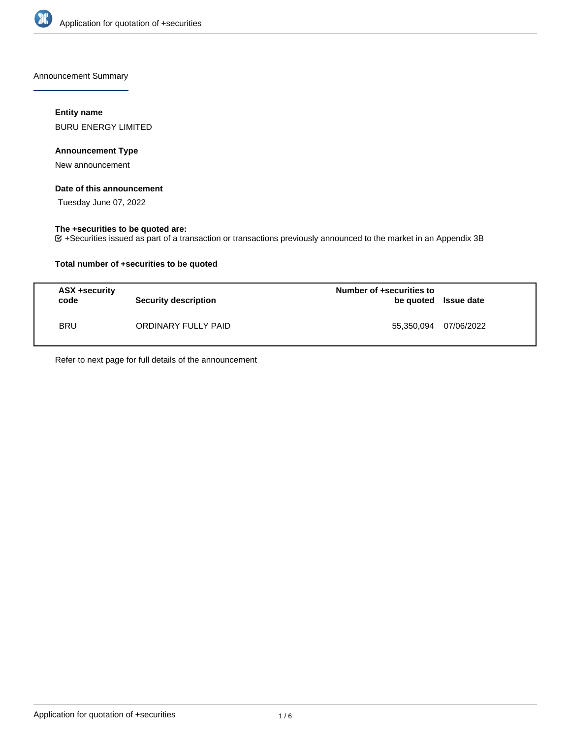

Announcement Summary

## **Entity name**

BURU ENERGY LIMITED

## **Announcement Type**

New announcement

## **Date of this announcement**

Tuesday June 07, 2022

## **The +securities to be quoted are:**

+Securities issued as part of a transaction or transactions previously announced to the market in an Appendix 3B

## **Total number of +securities to be quoted**

| <b>ASX +security</b><br>code | <b>Security description</b> | Number of +securities to<br>be quoted Issue date |            |
|------------------------------|-----------------------------|--------------------------------------------------|------------|
| <b>BRU</b>                   | ORDINARY FULLY PAID         | 55,350,094                                       | 07/06/2022 |

Refer to next page for full details of the announcement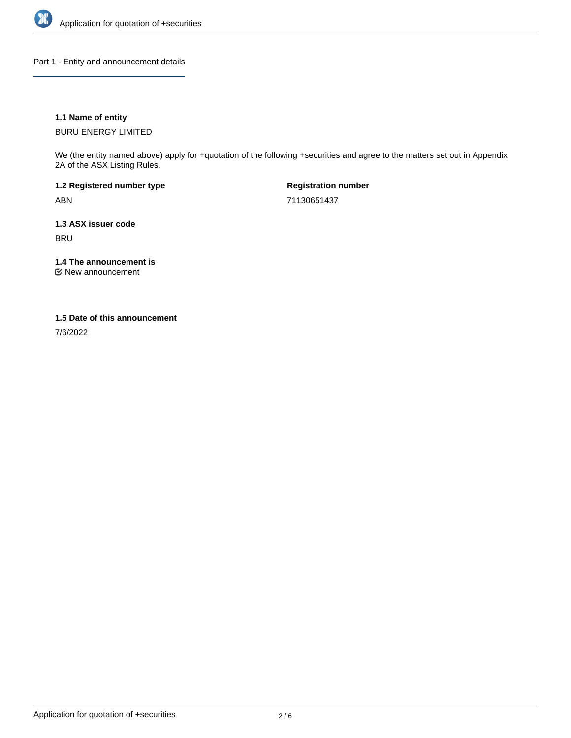

Part 1 - Entity and announcement details

## **1.1 Name of entity**

BURU ENERGY LIMITED

We (the entity named above) apply for +quotation of the following +securities and agree to the matters set out in Appendix 2A of the ASX Listing Rules.

**1.2 Registered number type** ABN

**Registration number** 71130651437

**1.3 ASX issuer code** BRU

**1.4 The announcement is**

New announcement

### **1.5 Date of this announcement**

7/6/2022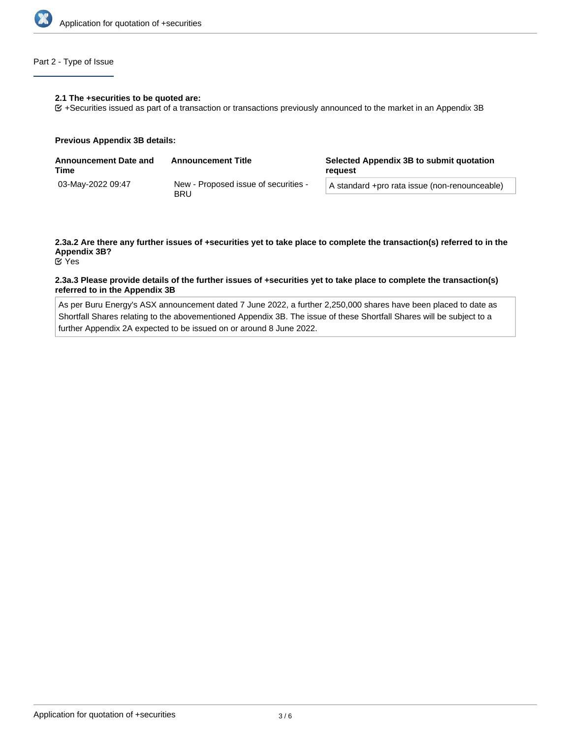

## Part 2 - Type of Issue

#### **2.1 The +securities to be quoted are:**

+Securities issued as part of a transaction or transactions previously announced to the market in an Appendix 3B

#### **Previous Appendix 3B details:**

| <b>Announcement Date and</b><br>Time | <b>Announcement Title</b>                          | Selected Appendix 3B to submit quotation<br>reauest |  |
|--------------------------------------|----------------------------------------------------|-----------------------------------------------------|--|
| 03-May-2022 09:47                    | New - Proposed issue of securities -<br><b>BRU</b> | A standard +pro rata issue (non-renounceable)       |  |

# **2.3a.2 Are there any further issues of +securities yet to take place to complete the transaction(s) referred to in the Appendix 3B?**

Yes

### **2.3a.3 Please provide details of the further issues of +securities yet to take place to complete the transaction(s) referred to in the Appendix 3B**

As per Buru Energy's ASX announcement dated 7 June 2022, a further 2,250,000 shares have been placed to date as Shortfall Shares relating to the abovementioned Appendix 3B. The issue of these Shortfall Shares will be subject to a further Appendix 2A expected to be issued on or around 8 June 2022.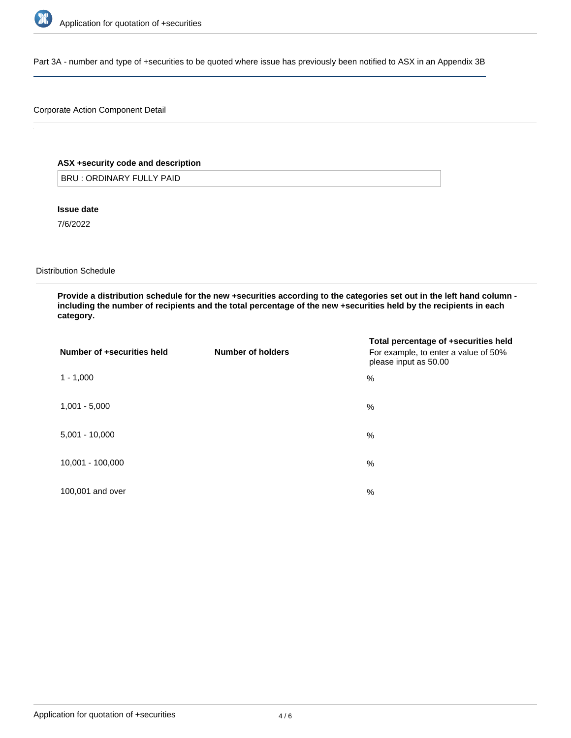

Part 3A - number and type of +securities to be quoted where issue has previously been notified to ASX in an Appendix 3B

## Corporate Action Component Detail

## **ASX +security code and description**

BRU : ORDINARY FULLY PAID

**Issue date**

7/6/2022

Distribution Schedule

**Provide a distribution schedule for the new +securities according to the categories set out in the left hand column including the number of recipients and the total percentage of the new +securities held by the recipients in each category.**

| Number of +securities held | Number of holders | Total percentage of +securities held<br>For example, to enter a value of 50%<br>please input as 50.00 |
|----------------------------|-------------------|-------------------------------------------------------------------------------------------------------|
| $1 - 1,000$                |                   | %                                                                                                     |
| $1,001 - 5,000$            |                   | %                                                                                                     |
| $5,001 - 10,000$           |                   | %                                                                                                     |
| 10,001 - 100,000           |                   | %                                                                                                     |
| 100,001 and over           |                   | %                                                                                                     |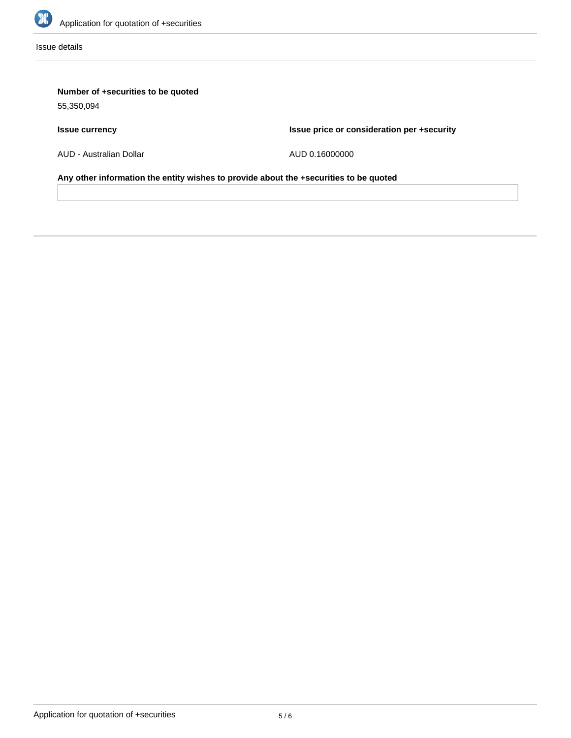

Issue details

# **Number of +securities to be quoted**

55,350,094

# **Issue currency**

**Issue price or consideration per +security**

AUD - Australian Dollar

AUD 0.16000000

**Any other information the entity wishes to provide about the +securities to be quoted**